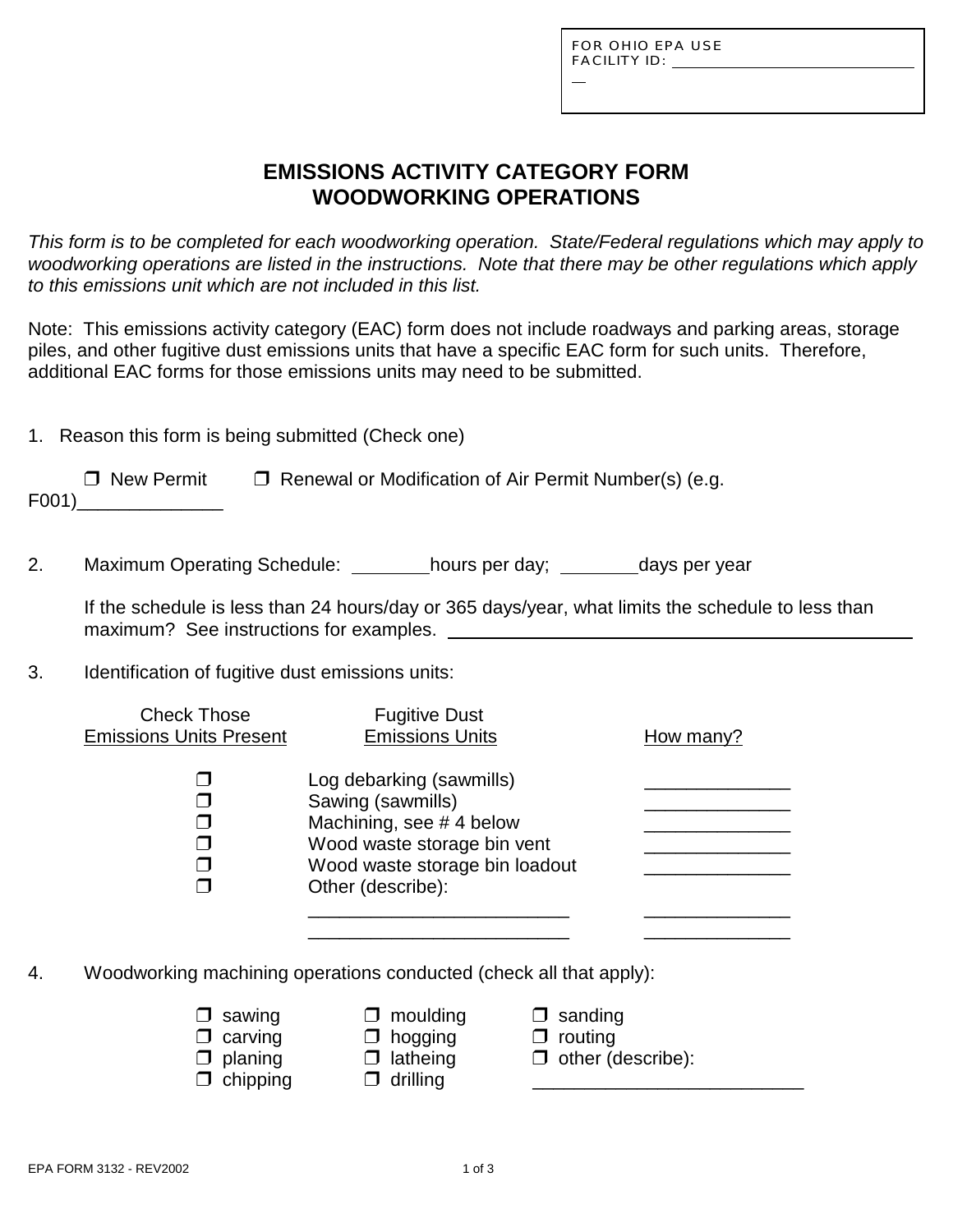L

## **EMISSIONS ACTIVITY CATEGORY FORM WOODWORKING OPERATIONS**

*This form is to be completed for each woodworking operation. State/Federal regulations which may apply to woodworking operations are listed in the instructions. Note that there may be other regulations which apply to this emissions unit which are not included in this list.*

Note: This emissions activity category (EAC) form does not include roadways and parking areas, storage piles, and other fugitive dust emissions units that have a specific EAC form for such units. Therefore, additional EAC forms for those emissions units may need to be submitted.

| 1. Reason this form is being submitted (Check one) |                   |                                                              |  |  |
|----------------------------------------------------|-------------------|--------------------------------------------------------------|--|--|
|                                                    | $\Box$ New Permit | $\Box$ Renewal or Modification of Air Permit Number(s) (e.g. |  |  |

F001)\_\_\_\_\_\_\_\_\_\_\_\_\_\_

2. Maximum Operating Schedule: \_\_\_\_\_\_\_hours per day; \_\_\_\_\_\_\_days per year

If the schedule is less than 24 hours/day or 365 days/year, what limits the schedule to less than maximum? See instructions for examples.

3. Identification of fugitive dust emissions units:

| <b>Check Those</b><br><b>Emissions Units Present</b> | <b>Fugitive Dust</b><br><b>Emissions Units</b>                                                                                                                 | How many? |
|------------------------------------------------------|----------------------------------------------------------------------------------------------------------------------------------------------------------------|-----------|
|                                                      | Log debarking (sawmills)<br>Sawing (sawmills)<br>Machining, see #4 below<br>Wood waste storage bin vent<br>Wood waste storage bin loadout<br>Other (describe): |           |

- 4. Woodworking machining operations conducted (check all that apply):
	- $\Box$  sawing  $\Box$  moulding  $\Box$  sanding
		-
		-
	- $\Box$  chipping  $\Box$  drilling
	- $\Box$  carving  $\Box$  hogging  $\Box$  routing  $\Box$  planing  $\Box$  latheing  $\Box$  other (describe):
- EPA FORM 3132 REV2002 2002 1 0 1 0 1 3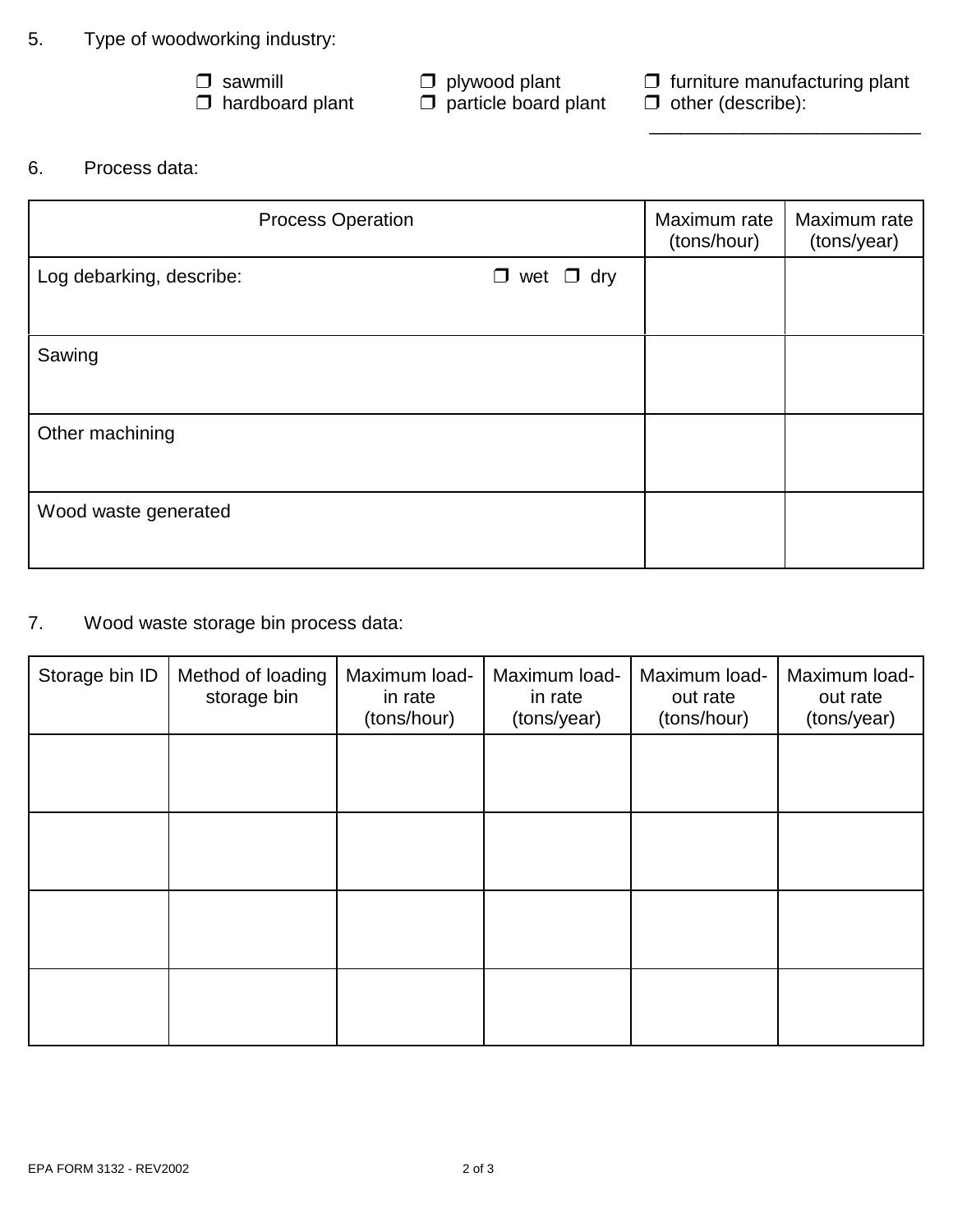### 5. Type of woodworking industry:

 $\Box$  plywood plant<br> $\Box$  particle board plant

 $\frac{1}{\sqrt{2\pi}}$  ,  $\frac{1}{\sqrt{2\pi}}$  ,  $\frac{1}{\sqrt{2\pi}}$  ,  $\frac{1}{\sqrt{2\pi}}$  ,  $\frac{1}{\sqrt{2\pi}}$  ,  $\frac{1}{\sqrt{2\pi}}$  ,  $\frac{1}{\sqrt{2\pi}}$  ,  $\frac{1}{\sqrt{2\pi}}$  ,  $\frac{1}{\sqrt{2\pi}}$  ,  $\frac{1}{\sqrt{2\pi}}$  ,  $\frac{1}{\sqrt{2\pi}}$  ,  $\frac{1}{\sqrt{2\pi}}$  ,  $\frac{1}{\sqrt{2\pi}}$  ,

 $\Box$  sawmill  $\Box$  plywood plant  $\Box$  furniture manufacturing plant  $\Box$  hardboard plant  $\Box$  particle board plant  $\Box$  other (describe):

6. Process data:

| <b>Process Operation</b> | Maximum rate<br>(tons/hour) | Maximum rate<br>(tons/year) |  |
|--------------------------|-----------------------------|-----------------------------|--|
| Log debarking, describe: | $\Box$ wet $\Box$ dry       |                             |  |
| Sawing                   |                             |                             |  |
| Other machining          |                             |                             |  |
| Wood waste generated     |                             |                             |  |

7. Wood waste storage bin process data:

| Storage bin ID | Method of loading<br>storage bin | Maximum load-<br>in rate<br>(tons/hour) | Maximum load-<br>in rate<br>(tons/year) | Maximum load-<br>out rate<br>(tons/hour) | Maximum load-<br>out rate<br>(tons/year) |
|----------------|----------------------------------|-----------------------------------------|-----------------------------------------|------------------------------------------|------------------------------------------|
|                |                                  |                                         |                                         |                                          |                                          |
|                |                                  |                                         |                                         |                                          |                                          |
|                |                                  |                                         |                                         |                                          |                                          |
|                |                                  |                                         |                                         |                                          |                                          |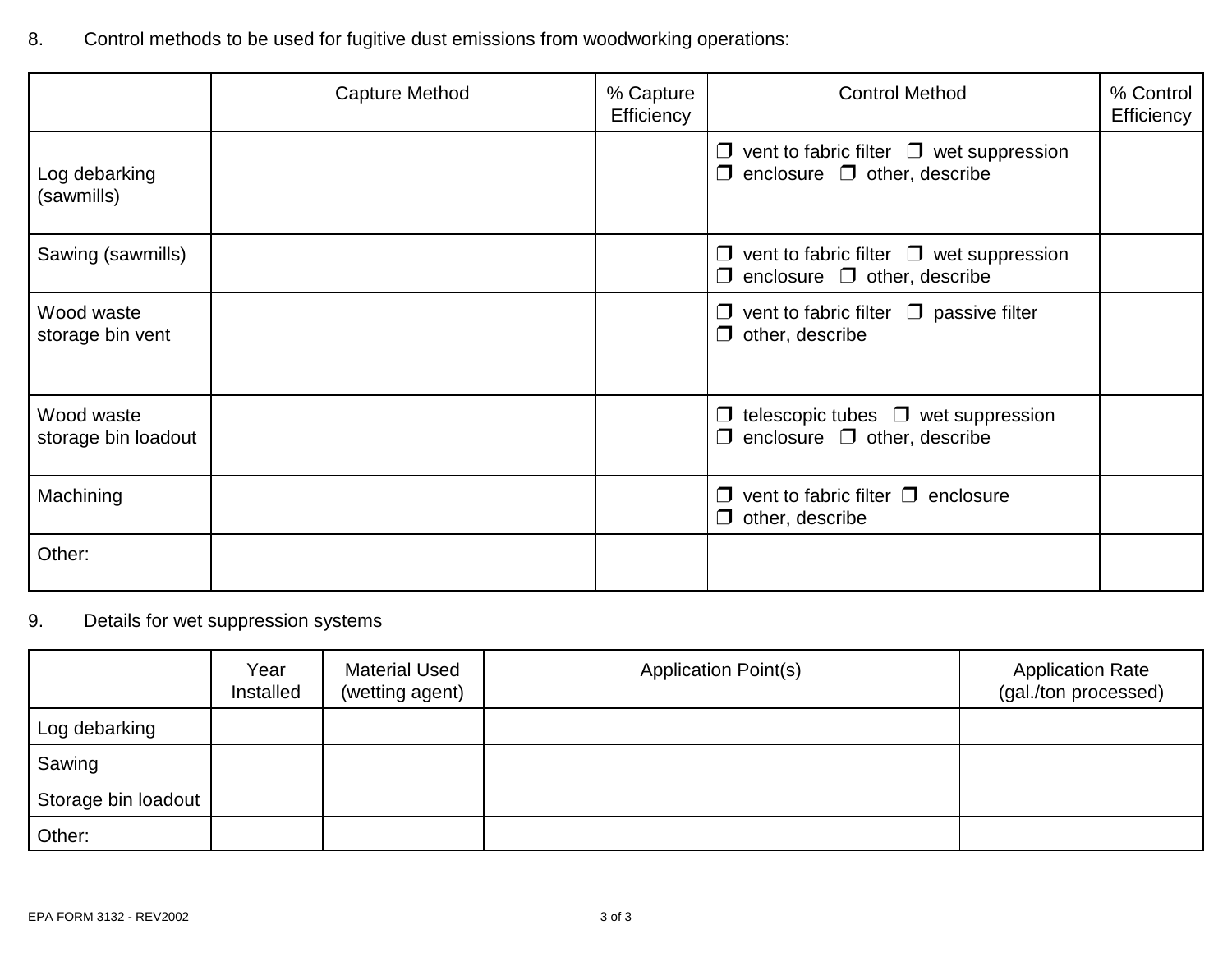8. Control methods to be used for fugitive dust emissions from woodworking operations:

|                                   | Capture Method | % Capture<br>Efficiency | <b>Control Method</b>                                                                             | % Control<br>Efficiency |
|-----------------------------------|----------------|-------------------------|---------------------------------------------------------------------------------------------------|-------------------------|
| Log debarking<br>(sawmills)       |                |                         | $\Box$ vent to fabric filter $\Box$ wet suppression<br>enclosure $\Box$ other, describe<br>$\Box$ |                         |
| Sawing (sawmills)                 |                |                         | $\Box$ vent to fabric filter $\Box$ wet suppression<br>$\Box$ enclosure $\Box$ other, describe    |                         |
| Wood waste<br>storage bin vent    |                |                         | $\Box$ vent to fabric filter $\Box$ passive filter<br>$\Box$ other, describe                      |                         |
| Wood waste<br>storage bin loadout |                |                         | telescopic tubes $\Box$ wet suppression<br>$\Box$<br>enclosure $\Box$ other, describe<br>$\Box$   |                         |
| Machining                         |                |                         | vent to fabric filter $\Box$ enclosure<br>$\Box$<br>$\Box$ other, describe                        |                         |
| Other:                            |                |                         |                                                                                                   |                         |

# 9. Details for wet suppression systems

|                     | Year<br>Installed | <b>Material Used</b><br>(wetting agent) | <b>Application Point(s)</b> | <b>Application Rate</b><br>(gal./ton processed) |
|---------------------|-------------------|-----------------------------------------|-----------------------------|-------------------------------------------------|
| Log debarking       |                   |                                         |                             |                                                 |
| Sawing              |                   |                                         |                             |                                                 |
| Storage bin loadout |                   |                                         |                             |                                                 |
| Other:              |                   |                                         |                             |                                                 |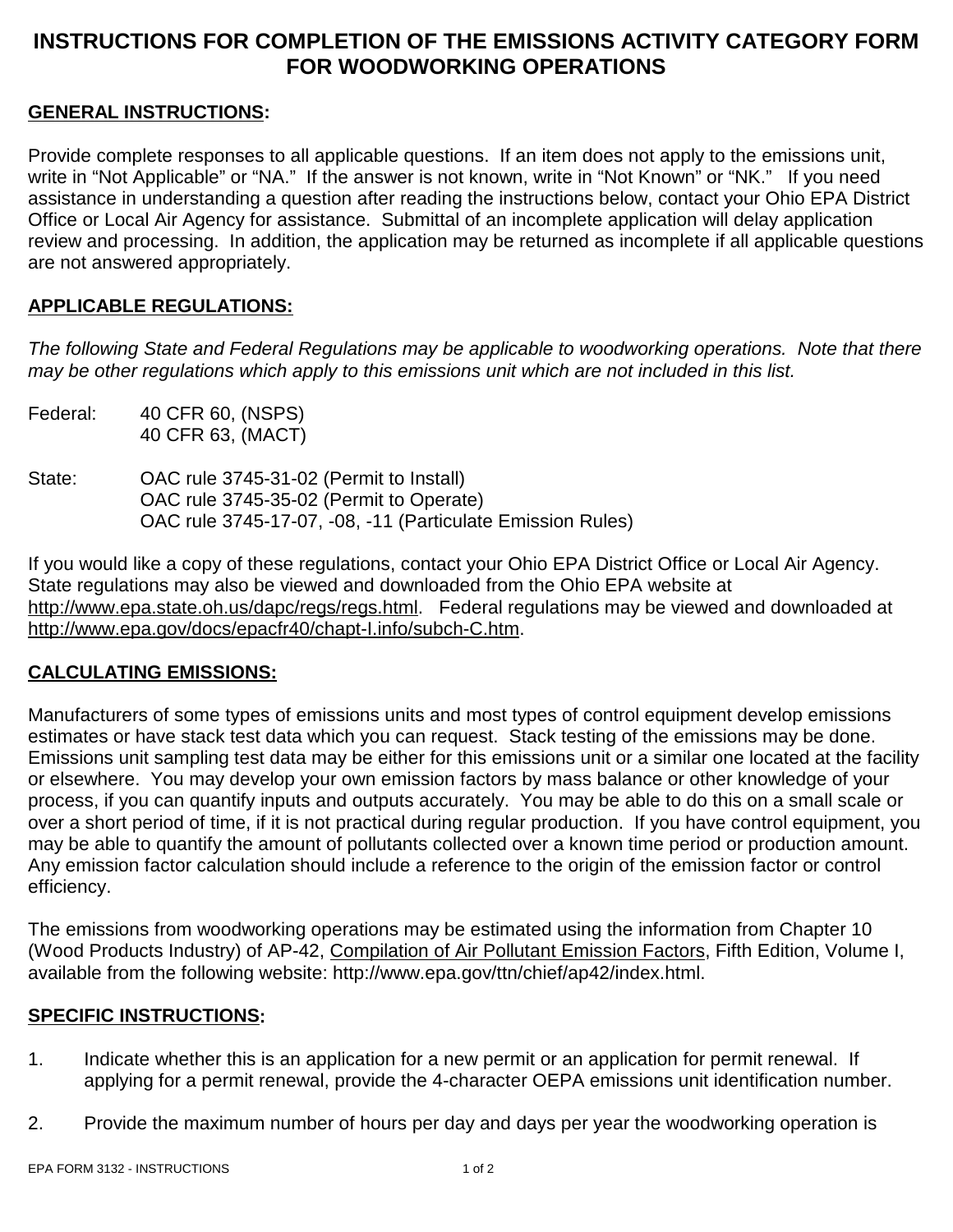# **INSTRUCTIONS FOR COMPLETION OF THE EMISSIONS ACTIVITY CATEGORY FORM FOR WOODWORKING OPERATIONS**

### **GENERAL INSTRUCTIONS:**

Provide complete responses to all applicable questions. If an item does not apply to the emissions unit, write in "Not Applicable" or "NA." If the answer is not known, write in "Not Known" or "NK." If you need assistance in understanding a question after reading the instructions below, contact your Ohio EPA District Office or Local Air Agency for assistance. Submittal of an incomplete application will delay application review and processing. In addition, the application may be returned as incomplete if all applicable questions are not answered appropriately.

### **APPLICABLE REGULATIONS:**

*The following State and Federal Regulations may be applicable to woodworking operations. Note that there may be other regulations which apply to this emissions unit which are not included in this list.*

- Federal: 40 CFR 60, (NSPS) 40 CFR 63, (MACT)
- State: OAC rule 3745-31-02 (Permit to Install) OAC rule 3745-35-02 (Permit to Operate) OAC rule 3745-17-07, -08, -11 (Particulate Emission Rules)

If you would like a copy of these regulations, contact your Ohio EPA District Office or Local Air Agency. State regulations may also be viewed and downloaded from the Ohio EPA website at http://www.epa.state.oh.us/dapc/regs/regs.html. Federal regulations may be viewed and downloaded at http://www.epa.gov/docs/epacfr40/chapt-I.info/subch-C.htm.

### **CALCULATING EMISSIONS:**

Manufacturers of some types of emissions units and most types of control equipment develop emissions estimates or have stack test data which you can request. Stack testing of the emissions may be done. Emissions unit sampling test data may be either for this emissions unit or a similar one located at the facility or elsewhere. You may develop your own emission factors by mass balance or other knowledge of your process, if you can quantify inputs and outputs accurately. You may be able to do this on a small scale or over a short period of time, if it is not practical during regular production. If you have control equipment, you may be able to quantify the amount of pollutants collected over a known time period or production amount. Any emission factor calculation should include a reference to the origin of the emission factor or control efficiency.

The emissions from woodworking operations may be estimated using the information from Chapter 10 (Wood Products Industry) of AP-42, Compilation of Air Pollutant Emission Factors, Fifth Edition, Volume I, available from the following website: http://www.epa.gov/ttn/chief/ap42/index.html.

### **SPECIFIC INSTRUCTIONS:**

- 1. Indicate whether this is an application for a new permit or an application for permit renewal. If applying for a permit renewal, provide the 4-character OEPA emissions unit identification number.
- 2. Provide the maximum number of hours per day and days per year the woodworking operation is